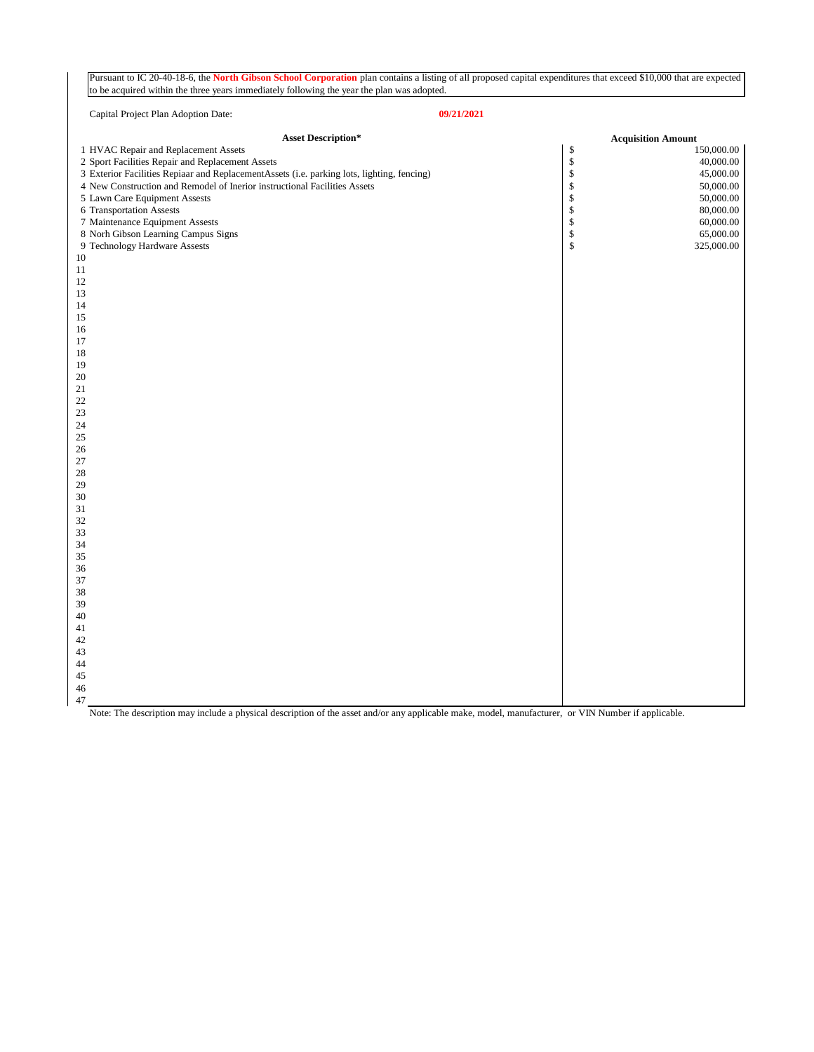Pursuant to IC 20-40-18-6, the **North Gibson School Corporation** plan contains a listing of all proposed capital expenditures that exceed \$10,000 that are expected to be acquired within the three years immediately following the year the plan was adopted.

|          | Capital Project Plan Adoption Date:<br>09/21/2021                                          |                           |            |  |  |
|----------|--------------------------------------------------------------------------------------------|---------------------------|------------|--|--|
|          | <b>Asset Description*</b>                                                                  | <b>Acquisition Amount</b> |            |  |  |
|          | 1 HVAC Repair and Replacement Assets                                                       | \$                        | 150,000.00 |  |  |
|          | 2 Sport Facilities Repair and Replacement Assets                                           | $\mathbb{S}$              | 40,000.00  |  |  |
|          | 3 Exterior Facilities Repiaar and ReplacementAssets (i.e. parking lots, lighting, fencing) | $\mathbb{S}$              | 45,000.00  |  |  |
|          | 4 New Construction and Remodel of Inerior instructional Facilities Assets                  | $\mathbb{S}$              | 50,000.00  |  |  |
|          | 5 Lawn Care Equipment Assests                                                              | $\mathbb S$               | 50,000.00  |  |  |
|          | 6 Transportation Assests                                                                   | $\boldsymbol{\$}$         | 80,000.00  |  |  |
|          | 7 Maintenance Equipment Assests                                                            | $\mathbb S$               | 60,000.00  |  |  |
|          | 8 Norh Gibson Learning Campus Signs                                                        | $\boldsymbol{\$}$         | 65,000.00  |  |  |
|          | 9 Technology Hardware Assests                                                              | \$                        | 325,000.00 |  |  |
| 10       |                                                                                            |                           |            |  |  |
| 11       |                                                                                            |                           |            |  |  |
| $12\,$   |                                                                                            |                           |            |  |  |
| 13       |                                                                                            |                           |            |  |  |
| 14       |                                                                                            |                           |            |  |  |
| 15       |                                                                                            |                           |            |  |  |
| 16       |                                                                                            |                           |            |  |  |
| 17       |                                                                                            |                           |            |  |  |
| 18<br>19 |                                                                                            |                           |            |  |  |
| 20       |                                                                                            |                           |            |  |  |
| 21       |                                                                                            |                           |            |  |  |
| 22       |                                                                                            |                           |            |  |  |
| 23       |                                                                                            |                           |            |  |  |
| 24       |                                                                                            |                           |            |  |  |
| 25       |                                                                                            |                           |            |  |  |
| 26       |                                                                                            |                           |            |  |  |
| 27       |                                                                                            |                           |            |  |  |
| 28       |                                                                                            |                           |            |  |  |
| 29       |                                                                                            |                           |            |  |  |
| 30       |                                                                                            |                           |            |  |  |
| 31       |                                                                                            |                           |            |  |  |
| 32       |                                                                                            |                           |            |  |  |
| 33       |                                                                                            |                           |            |  |  |
| 34       |                                                                                            |                           |            |  |  |
| 35       |                                                                                            |                           |            |  |  |
| 36       |                                                                                            |                           |            |  |  |
| 37       |                                                                                            |                           |            |  |  |
| 38       |                                                                                            |                           |            |  |  |
| 39<br>40 |                                                                                            |                           |            |  |  |
| 41       |                                                                                            |                           |            |  |  |
| 42       |                                                                                            |                           |            |  |  |
| 43       |                                                                                            |                           |            |  |  |
| 44       |                                                                                            |                           |            |  |  |
| 45       |                                                                                            |                           |            |  |  |
| 46       |                                                                                            |                           |            |  |  |
| 47       |                                                                                            |                           |            |  |  |

Note: The description may include a physical description of the asset and/or any applicable make, model, manufacturer, or VIN Number if applicable.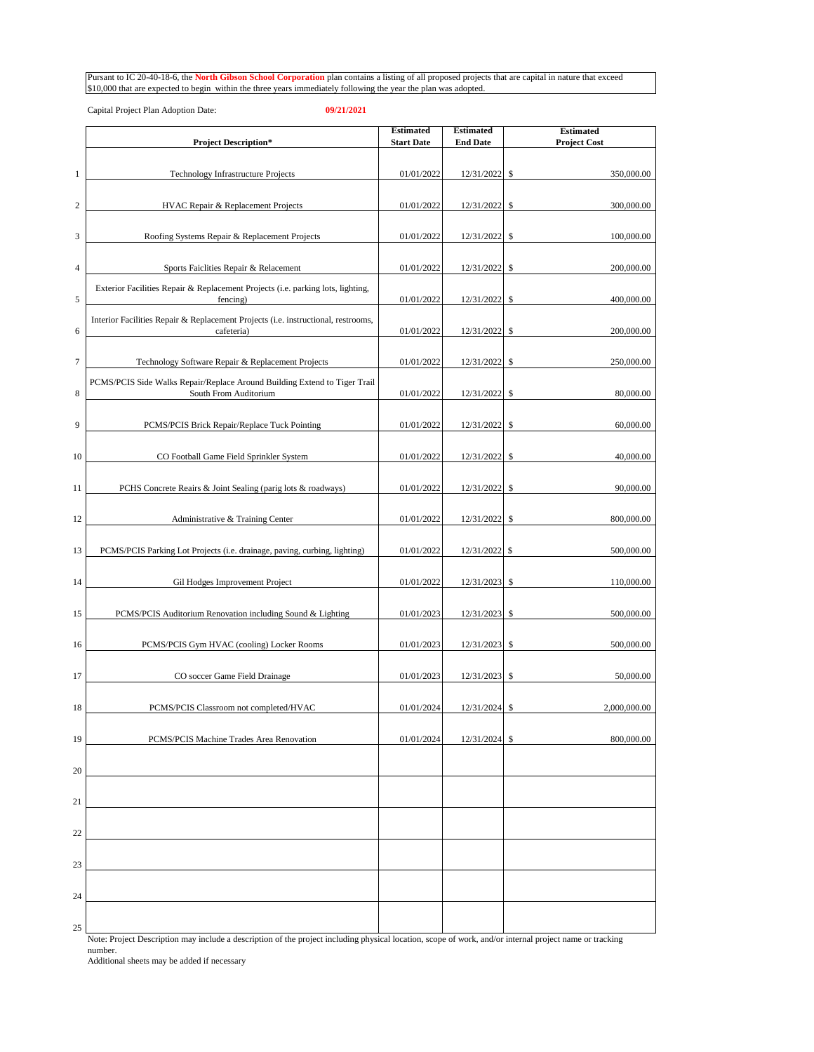Pursant to IC 20-40-18-6, the **North Gibson School Corporation** plan contains a listing of all proposed projects that are capital in nature that exceed \$10,000 that are expected to begin within the three years immediately following the year the plan was adopted.

Capital Project Plan Adoption Date: **09/21/2021**

|                  |                                                                                                    | <b>Estimated</b>  | <b>Estimated</b> | <b>Estimated</b>    |
|------------------|----------------------------------------------------------------------------------------------------|-------------------|------------------|---------------------|
|                  | <b>Project Description*</b>                                                                        | <b>Start Date</b> | <b>End Date</b>  | <b>Project Cost</b> |
| $\mathbf{1}$     | Technology Infrastructure Projects                                                                 | 01/01/2022        | 12/31/2022       | \$<br>350,000.00    |
| $\boldsymbol{2}$ | HVAC Repair & Replacement Projects                                                                 | 01/01/2022        | 12/31/2022       | \$<br>300,000.00    |
| 3                | Roofing Systems Repair & Replacement Projects                                                      | 01/01/2022        | 12/31/2022       | \$<br>100,000.00    |
| 4                | Sports Faiclities Repair & Relacement                                                              | 01/01/2022        | 12/31/2022       | \$<br>200,000.00    |
|                  | Exterior Facilities Repair & Replacement Projects (i.e. parking lots, lighting,                    |                   |                  |                     |
| 5                | fencing)<br>Interior Facilities Repair & Replacement Projects (i.e. instructional, restrooms,      | 01/01/2022        | 12/31/2022       | \$<br>400,000.00    |
| 6                | cafeteria)                                                                                         | 01/01/2022        | 12/31/2022       | \$<br>200,000.00    |
| 7                | Technology Software Repair & Replacement Projects                                                  | 01/01/2022        | 12/31/2022       | \$<br>250,000.00    |
| 8                | PCMS/PCIS Side Walks Repair/Replace Around Building Extend to Tiger Trail<br>South From Auditorium | 01/01/2022        | 12/31/2022       | \$<br>80,000.00     |
| 9                | PCMS/PCIS Brick Repair/Replace Tuck Pointing                                                       | 01/01/2022        | 12/31/2022       | \$<br>60,000.00     |
| 10               | CO Football Game Field Sprinkler System                                                            | 01/01/2022        | 12/31/2022       | \$<br>40,000.00     |
| 11               | PCHS Concrete Reairs & Joint Sealing (parig lots & roadways)                                       | 01/01/2022        | 12/31/2022       | \$<br>90,000.00     |
|                  |                                                                                                    | 01/01/2022        | 12/31/2022       | \$<br>800,000.00    |
| 12               | Administrative & Training Center                                                                   |                   |                  |                     |
| 13               | PCMS/PCIS Parking Lot Projects (i.e. drainage, paving, curbing, lighting)                          | 01/01/2022        | 12/31/2022       | 500,000.00<br>-S    |
| 14               | Gil Hodges Improvement Project                                                                     | 01/01/2022        | 12/31/2023       | \$<br>110,000.00    |
| 15               | PCMS/PCIS Auditorium Renovation including Sound & Lighting                                         | 01/01/2023        | 12/31/2023       | \$<br>500,000.00    |
| 16               | PCMS/PCIS Gym HVAC (cooling) Locker Rooms                                                          | 01/01/2023        | 12/31/2023       | \$<br>500,000.00    |
| 17               | CO soccer Game Field Drainage                                                                      | 01/01/2023        | 12/31/2023       | \$<br>50,000.00     |
| 18               | PCMS/PCIS Classroom not completed/HVAC                                                             | 01/01/2024        | 12/31/2024       | \$<br>2,000,000.00  |
| 19               | PCMS/PCIS Machine Trades Area Renovation                                                           | 01/01/2024        | 12/31/2024       | 800,000.00<br>S     |
| 20               |                                                                                                    |                   |                  |                     |
|                  |                                                                                                    |                   |                  |                     |
| 21               |                                                                                                    |                   |                  |                     |
| 22               |                                                                                                    |                   |                  |                     |
| 23               |                                                                                                    |                   |                  |                     |
| 24               |                                                                                                    |                   |                  |                     |
| 25               |                                                                                                    |                   |                  |                     |

Note: Project Description may include a description of the project including physical location, scope of work, and/or internal project name or tracking number.

Additional sheets may be added if necessary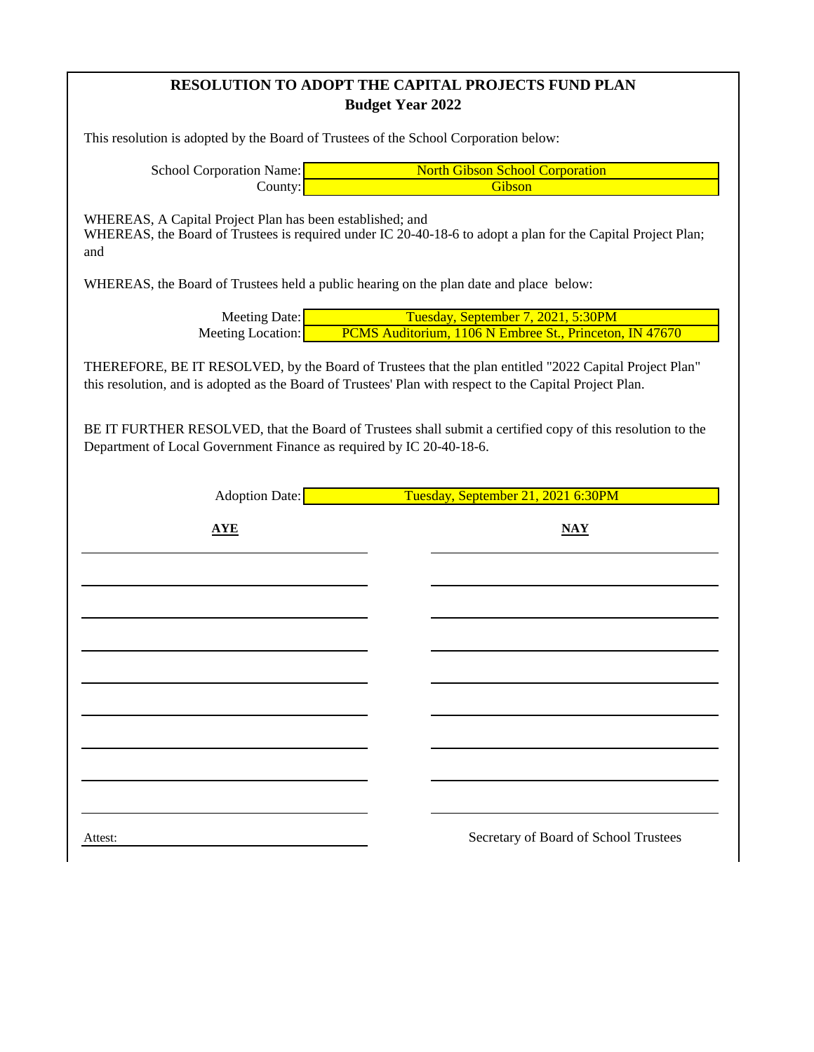## **RESOLUTION TO ADOPT THE CAPITAL PROJECTS FUND PLAN Budget Year 2022**

This resolution is adopted by the Board of Trustees of the School Corporation below:

School Corporation Name: County: North Gibson School Corporation **Gibson** 

WHEREAS, A Capital Project Plan has been established; and WHEREAS, the Board of Trustees is required under IC 20-40-18-6 to adopt a plan for the Capital Project Plan; and

WHEREAS, the Board of Trustees held a public hearing on the plan date and place below:

Meeting Date: Meeting Location: Tuesday, September 7, 2021, 5:30PM PCMS Auditorium, 1106 N Embree St., Princeton, IN 47670

THEREFORE, BE IT RESOLVED, by the Board of Trustees that the plan entitled "2022 Capital Project Plan" this resolution, and is adopted as the Board of Trustees' Plan with respect to the Capital Project Plan.

BE IT FURTHER RESOLVED, that the Board of Trustees shall submit a certified copy of this resolution to the Department of Local Government Finance as required by IC 20-40-18-6.

> Adoption Date: Tuesday, September 21, 2021 6:30PM

| <b>AYE</b> |  | $\overline{\text{MAX}}$               |
|------------|--|---------------------------------------|
|            |  |                                       |
|            |  |                                       |
|            |  |                                       |
|            |  |                                       |
|            |  |                                       |
|            |  |                                       |
|            |  |                                       |
|            |  |                                       |
| Attest:    |  | Secretary of Board of School Trustees |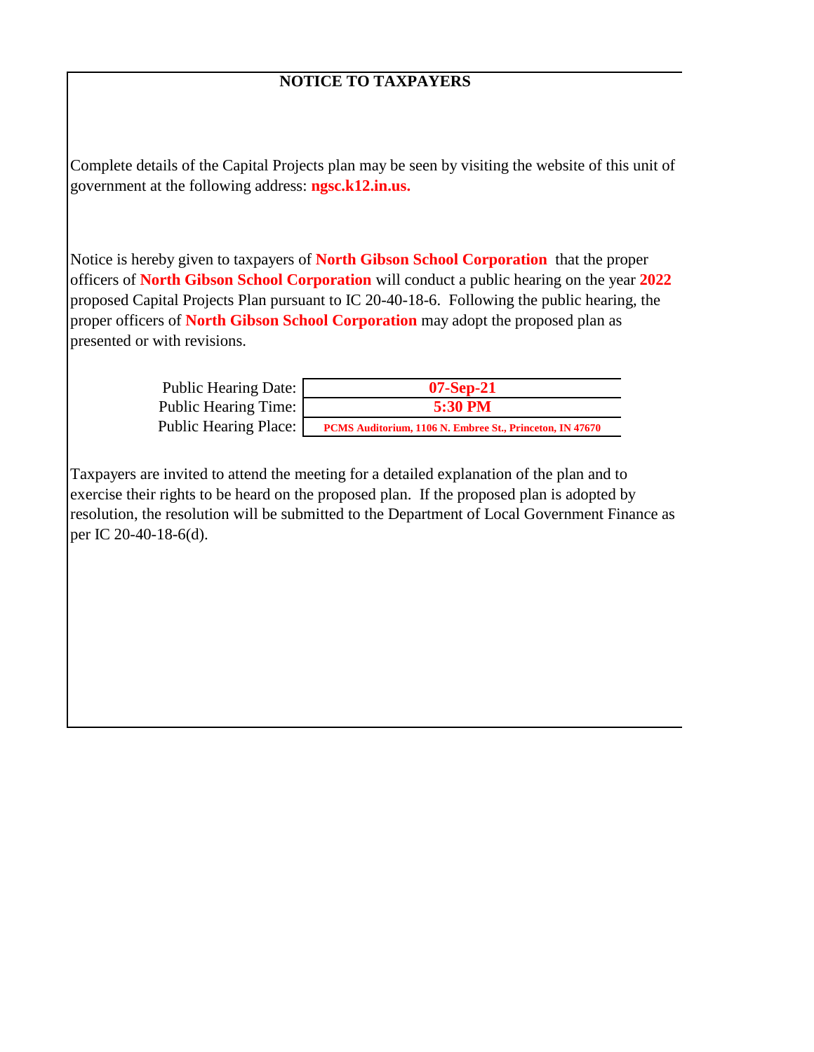## **NOTICE TO TAXPAYERS**

Complete details of the Capital Projects plan may be seen by visiting the website of this unit of government at the following address: **ngsc.k12.in.us.** 

Notice is hereby given to taxpayers of **North Gibson School Corporation** that the proper officers of **North Gibson School Corporation** will conduct a public hearing on the year **2022**  proposed Capital Projects Plan pursuant to IC 20-40-18-6. Following the public hearing, the proper officers of **North Gibson School Corporation** may adopt the proposed plan as presented or with revisions.

| Public Hearing Date:  | $07-Sep-21$                                              |
|-----------------------|----------------------------------------------------------|
| Public Hearing Time:  | 5:30 PM                                                  |
| Public Hearing Place: | PCMS Auditorium, 1106 N. Embree St., Princeton, IN 47670 |

Taxpayers are invited to attend the meeting for a detailed explanation of the plan and to exercise their rights to be heard on the proposed plan. If the proposed plan is adopted by resolution, the resolution will be submitted to the Department of Local Government Finance as per IC 20-40-18-6(d).